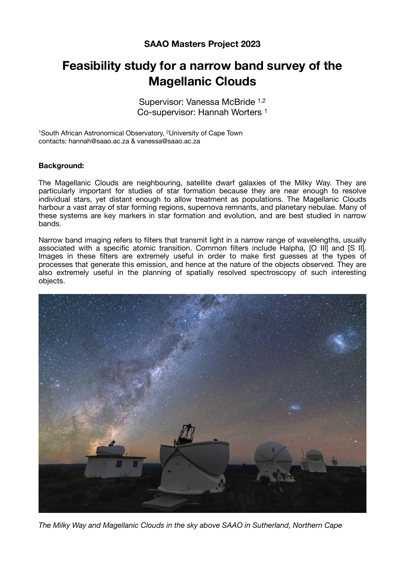## **SAAO Masters Project 2023**

# **Feasibility study for a narrow band survey of the Magellanic Clouds**

Supervisor: Vanessa McBride 1,2 Co-supervisor: Hannah Worters 1

1South African Astronomical Observatory, 2University of Cape Town contacts: hannah@saao.ac.za & vanessa@saao.ac.za

#### **Background:**

The Magellanic Clouds are neighbouring, satellite dwarf galaxies of the Milky Way. They are particularly important for studies of star formation because they are near enough to resolve individual stars, yet distant enough to allow treatment as populations. The Magellanic Clouds harbour a vast array of star forming regions, supernova remnants, and planetary nebulae. Many of these systems are key markers in star formation and evolution, and are best studied in narrow bands.

Narrow band imaging refers to filters that transmit light in a narrow range of wavelengths, usually associated with a specific atomic transition. Common filters include Halpha, [O III] and [S II]. Images in these filters are extremely useful in order to make first guesses at the types of processes that generate this emission, and hence at the nature of the objects observed. They are also extremely useful in the planning of spatially resolved spectroscopy of such interesting objects.



*The Milky Way and Magellanic Clouds in the sky above SAAO in Sutherland, Northern Cape*